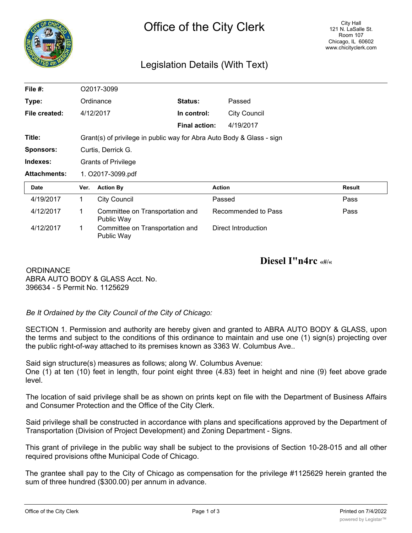

## Legislation Details (With Text)

| File $#$ :          | O2017-3099                                                            |                                               |                      |                     |               |
|---------------------|-----------------------------------------------------------------------|-----------------------------------------------|----------------------|---------------------|---------------|
| Type:               |                                                                       | Ordinance                                     | <b>Status:</b>       | Passed              |               |
| File created:       |                                                                       | 4/12/2017                                     | In control:          | <b>City Council</b> |               |
|                     |                                                                       |                                               | <b>Final action:</b> | 4/19/2017           |               |
| Title:              | Grant(s) of privilege in public way for Abra Auto Body & Glass - sign |                                               |                      |                     |               |
| <b>Sponsors:</b>    | Curtis, Derrick G.                                                    |                                               |                      |                     |               |
| Indexes:            | <b>Grants of Privilege</b>                                            |                                               |                      |                     |               |
| <b>Attachments:</b> | 1. O2017-3099.pdf                                                     |                                               |                      |                     |               |
| Date                | Ver.                                                                  | <b>Action By</b>                              |                      | <b>Action</b>       | <b>Result</b> |
| 4/19/2017           | 1                                                                     | <b>City Council</b>                           |                      | Passed              | Pass          |
| 4/12/2017           | 1                                                                     | Committee on Transportation and<br>Public Way |                      | Recommended to Pass | Pass          |
| 4/12/2017           | 1                                                                     | Committee on Transportation and<br>Public Way |                      | Direct Introduction |               |

**Diesel I"n4rc «#/«**

**ORDINANCE** ABRA AUTO BODY & GLASS Acct. No. 396634 - 5 Permit No. 1125629

*Be It Ordained by the City Council of the City of Chicago:*

SECTION 1. Permission and authority are hereby given and granted to ABRA AUTO BODY & GLASS, upon the terms and subject to the conditions of this ordinance to maintain and use one (1) sign(s) projecting over the public right-of-way attached to its premises known as 3363 W. Columbus Ave..

Said sign structure(s) measures as follows; along W. Columbus Avenue:

One (1) at ten (10) feet in length, four point eight three (4.83) feet in height and nine (9) feet above grade level.

The location of said privilege shall be as shown on prints kept on file with the Department of Business Affairs and Consumer Protection and the Office of the City Clerk.

Said privilege shall be constructed in accordance with plans and specifications approved by the Department of Transportation (Division of Project Development) and Zoning Department - Signs.

This grant of privilege in the public way shall be subject to the provisions of Section 10-28-015 and all other required provisions ofthe Municipal Code of Chicago.

The grantee shall pay to the City of Chicago as compensation for the privilege #1125629 herein granted the sum of three hundred (\$300.00) per annum in advance.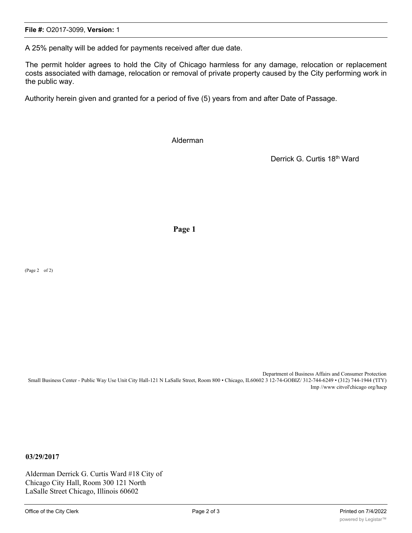A 25% penalty will be added for payments received after due date.

The permit holder agrees to hold the City of Chicago harmless for any damage, relocation or replacement costs associated with damage, relocation or removal of private property caused by the City performing work in the public way.

Authority herein given and granted for a period of five (5) years from and after Date of Passage.

Alderman

Derrick G. Curtis 18th Ward

**Page 1**

(Page 2 of 2)

Department ol Business Affairs and Consumer Protection Small Business Center - Public Way Use Unit City Hall-121 N LaSalle Street, Room 800 • Chicago, IL60602 3 12-74-GOBIZ/ 312-744-6249 • (312) 744-1944 ('ITY) Imp //www citvol'chicago org/hacp

**03/29/2017**

Alderman Derrick G. Curtis Ward #18 City of Chicago City Hall, Room 300 121 North LaSalle Street Chicago, Illinois 60602